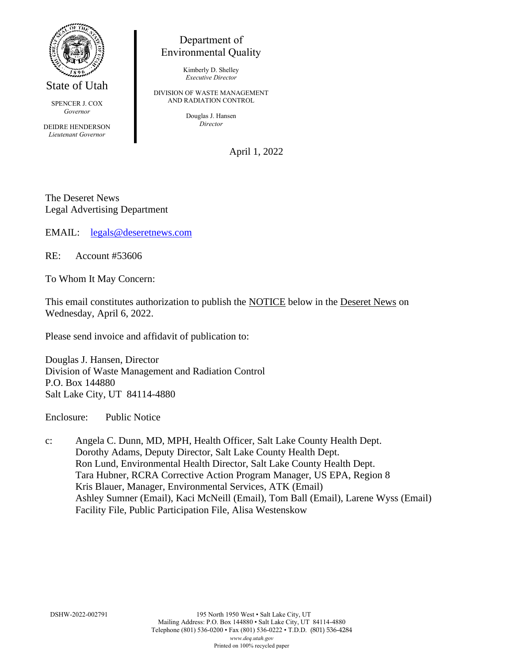

State of Utah

SPENCER J. COX *Governor*

DEIDRE HENDERSON *Lieutenant Governor*

## Department of Environmental Quality

Kimberly D. Shelley *Executive Director*

DIVISION OF WASTE MANAGEMENT AND RADIATION CONTROL

> Douglas J. Hansen *Director*

> > April 1, 2022

The Deseret News Legal Advertising Department

EMAIL: [legals@deseretnews.com](mailto:legals@deseretnews.com)

RE: Account #53606

To Whom It May Concern:

This email constitutes authorization to publish the NOTICE below in the Deseret News on Wednesday, April 6, 2022.

Please send invoice and affidavit of publication to:

Douglas J. Hansen, Director Division of Waste Management and Radiation Control P.O. Box 144880 Salt Lake City, UT 84114-4880

Enclosure: Public Notice

c: Angela C. Dunn, MD, MPH, Health Officer, Salt Lake County Health Dept. Dorothy Adams, Deputy Director, Salt Lake County Health Dept. Ron Lund, Environmental Health Director, Salt Lake County Health Dept. Tara Hubner, RCRA Corrective Action Program Manager, US EPA, Region 8 Kris Blauer, Manager, Environmental Services, ATK (Email) Ashley Sumner (Email), Kaci McNeill (Email), Tom Ball (Email), Larene Wyss (Email) Facility File, Public Participation File, Alisa Westenskow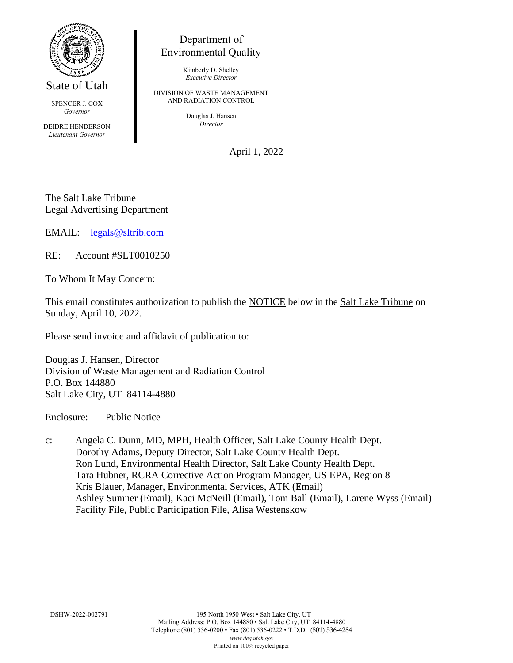

State of Utah

SPENCER J. COX *Governor*

DEIDRE HENDERSON *Lieutenant Governor*

## Department of Environmental Quality

Kimberly D. Shelley *Executive Director*

DIVISION OF WASTE MANAGEMENT AND RADIATION CONTROL

> Douglas J. Hansen *Director*

> > April 1, 2022

The Salt Lake Tribune Legal Advertising Department

EMAIL: [legals@sltrib.com](mailto:legals@sltrib.com)

RE: Account #SLT0010250

To Whom It May Concern:

This email constitutes authorization to publish the NOTICE below in the Salt Lake Tribune on Sunday, April 10, 2022.

Please send invoice and affidavit of publication to:

Douglas J. Hansen, Director Division of Waste Management and Radiation Control P.O. Box 144880 Salt Lake City, UT 84114-4880

Enclosure: Public Notice

c: Angela C. Dunn, MD, MPH, Health Officer, Salt Lake County Health Dept. Dorothy Adams, Deputy Director, Salt Lake County Health Dept. Ron Lund, Environmental Health Director, Salt Lake County Health Dept. Tara Hubner, RCRA Corrective Action Program Manager, US EPA, Region 8 Kris Blauer, Manager, Environmental Services, ATK (Email) Ashley Sumner (Email), Kaci McNeill (Email), Tom Ball (Email), Larene Wyss (Email) Facility File, Public Participation File, Alisa Westenskow